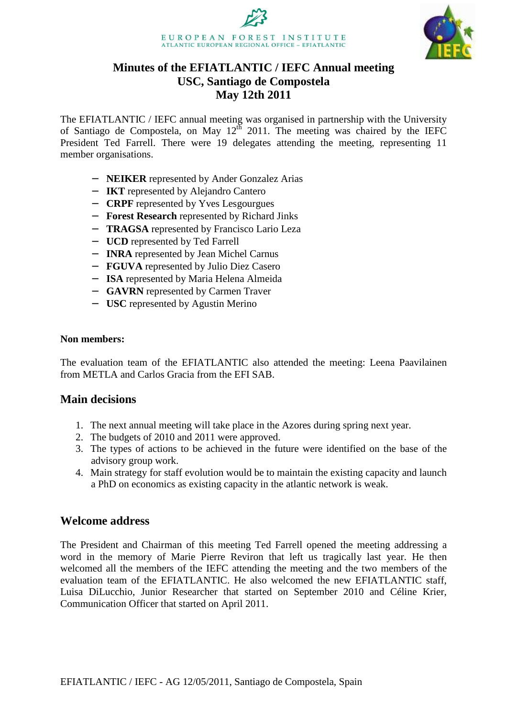



# **Minutes of the EFIATLANTIC / IEFC Annual meeting USC, Santiago de Compostela May 12th 2011**

The EFIATLANTIC / IEFC annual meeting was organised in partnership with the University of Santiago de Compostela, on May  $12^{th}$  2011. The meeting was chaired by the IEFC President Ted Farrell. There were 19 delegates attending the meeting, representing 11 member organisations.

- − **NEIKER** represented by Ander Gonzalez Arias
- − **IKT** represented by Alejandro Cantero
- − **CRPF** represented by Yves Lesgourgues
- − **Forest Research** represented by Richard Jinks
- − **TRAGSA** represented by Francisco Lario Leza
- − **UCD** represented by Ted Farrell
- − **INRA** represented by Jean Michel Carnus
- − **FGUVA** represented by Julio Diez Casero
- − **ISA** represented by Maria Helena Almeida
- − **GAVRN** represented by Carmen Traver
- − **USC** represented by Agustin Merino

#### **Non members:**

The evaluation team of the EFIATLANTIC also attended the meeting: Leena Paavilainen from METLA and Carlos Gracia from the EFI SAB.

## **Main decisions**

- 1. The next annual meeting will take place in the Azores during spring next year.
- 2. The budgets of 2010 and 2011 were approved.
- 3. The types of actions to be achieved in the future were identified on the base of the advisory group work.
- 4. Main strategy for staff evolution would be to maintain the existing capacity and launch a PhD on economics as existing capacity in the atlantic network is weak.

## **Welcome address**

The President and Chairman of this meeting Ted Farrell opened the meeting addressing a word in the memory of Marie Pierre Reviron that left us tragically last year. He then welcomed all the members of the IEFC attending the meeting and the two members of the evaluation team of the EFIATLANTIC. He also welcomed the new EFIATLANTIC staff, Luisa DiLucchio, Junior Researcher that started on September 2010 and Céline Krier, Communication Officer that started on April 2011.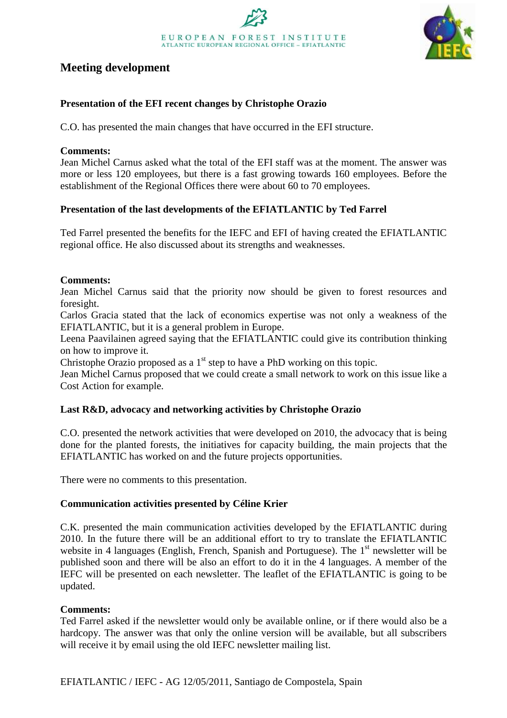

# **Meeting development**

## **Presentation of the EFI recent changes by Christophe Orazio**

C.O. has presented the main changes that have occurred in the EFI structure.

#### **Comments:**

Jean Michel Carnus asked what the total of the EFI staff was at the moment. The answer was more or less 120 employees, but there is a fast growing towards 160 employees. Before the establishment of the Regional Offices there were about 60 to 70 employees.

## **Presentation of the last developments of the EFIATLANTIC by Ted Farrel**

Ted Farrel presented the benefits for the IEFC and EFI of having created the EFIATLANTIC regional office. He also discussed about its strengths and weaknesses.

#### **Comments:**

Jean Michel Carnus said that the priority now should be given to forest resources and foresight.

Carlos Gracia stated that the lack of economics expertise was not only a weakness of the EFIATLANTIC, but it is a general problem in Europe.

Leena Paavilainen agreed saying that the EFIATLANTIC could give its contribution thinking on how to improve it.

Christophe Orazio proposed as a  $1<sup>st</sup>$  step to have a PhD working on this topic.

Jean Michel Carnus proposed that we could create a small network to work on this issue like a Cost Action for example.

## **Last R&D, advocacy and networking activities by Christophe Orazio**

C.O. presented the network activities that were developed on 2010, the advocacy that is being done for the planted forests, the initiatives for capacity building, the main projects that the EFIATLANTIC has worked on and the future projects opportunities.

There were no comments to this presentation.

## **Communication activities presented by Céline Krier**

C.K. presented the main communication activities developed by the EFIATLANTIC during 2010. In the future there will be an additional effort to try to translate the EFIATLANTIC website in 4 languages (English, French, Spanish and Portuguese). The  $1<sup>st</sup>$  newsletter will be published soon and there will be also an effort to do it in the 4 languages. A member of the IEFC will be presented on each newsletter. The leaflet of the EFIATLANTIC is going to be updated.

#### **Comments:**

Ted Farrel asked if the newsletter would only be available online, or if there would also be a hardcopy. The answer was that only the online version will be available, but all subscribers will receive it by email using the old IEFC newsletter mailing list.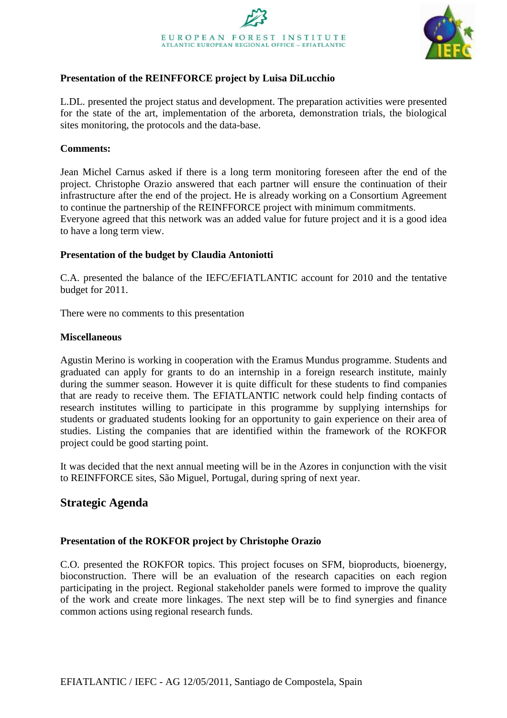

## **Presentation of the REINFFORCE project by Luisa DiLucchio**

L.DL. presented the project status and development. The preparation activities were presented for the state of the art, implementation of the arboreta, demonstration trials, the biological sites monitoring, the protocols and the data-base.

#### **Comments:**

Jean Michel Carnus asked if there is a long term monitoring foreseen after the end of the project. Christophe Orazio answered that each partner will ensure the continuation of their infrastructure after the end of the project. He is already working on a Consortium Agreement to continue the partnership of the REINFFORCE project with minimum commitments. Everyone agreed that this network was an added value for future project and it is a good idea to have a long term view.

#### **Presentation of the budget by Claudia Antoniotti**

C.A. presented the balance of the IEFC/EFIATLANTIC account for 2010 and the tentative budget for 2011.

There were no comments to this presentation

#### **Miscellaneous**

Agustin Merino is working in cooperation with the Eramus Mundus programme. Students and graduated can apply for grants to do an internship in a foreign research institute, mainly during the summer season. However it is quite difficult for these students to find companies that are ready to receive them. The EFIATLANTIC network could help finding contacts of research institutes willing to participate in this programme by supplying internships for students or graduated students looking for an opportunity to gain experience on their area of studies. Listing the companies that are identified within the framework of the ROKFOR project could be good starting point.

It was decided that the next annual meeting will be in the Azores in conjunction with the visit to REINFFORCE sites, São Miguel, Portugal, during spring of next year.

# **Strategic Agenda**

## **Presentation of the ROKFOR project by Christophe Orazio**

C.O. presented the ROKFOR topics. This project focuses on SFM, bioproducts, bioenergy, bioconstruction. There will be an evaluation of the research capacities on each region participating in the project. Regional stakeholder panels were formed to improve the quality of the work and create more linkages. The next step will be to find synergies and finance common actions using regional research funds.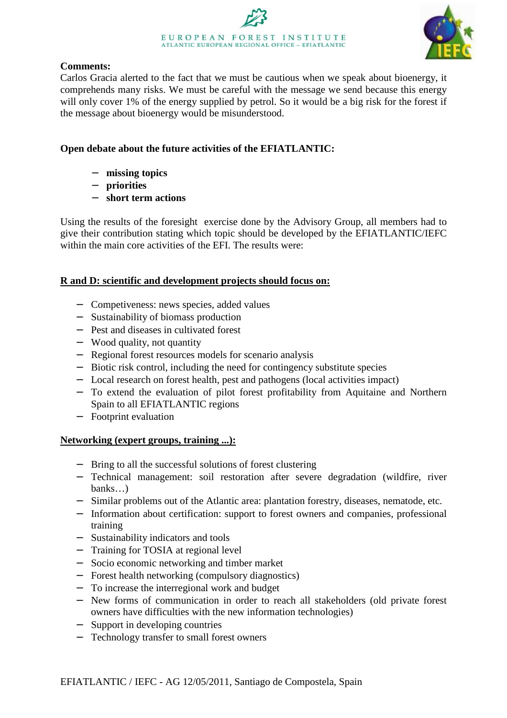



## **Comments:**

Carlos Gracia alerted to the fact that we must be cautious when we speak about bioenergy, it comprehends many risks. We must be careful with the message we send because this energy will only cover 1% of the energy supplied by petrol. So it would be a big risk for the forest if the message about bioenergy would be misunderstood.

## **Open debate about the future activities of the EFIATLANTIC:**

- − **missing topics**
- − **priorities**
- − **short term actions**

Using the results of the foresight exercise done by the Advisory Group, all members had to give their contribution stating which topic should be developed by the EFIATLANTIC/IEFC within the main core activities of the EFI. The results were:

## **R and D: scientific and development projects should focus on:**

- − Competiveness: news species, added values
- − Sustainability of biomass production
- − Pest and diseases in cultivated forest
- − Wood quality, not quantity
- − Regional forest resources models for scenario analysis
- − Biotic risk control, including the need for contingency substitute species
- − Local research on forest health, pest and pathogens (local activities impact)
- − To extend the evaluation of pilot forest profitability from Aquitaine and Northern Spain to all EFIATLANTIC regions
- − Footprint evaluation

## **Networking (expert groups, training ...):**

- − Bring to all the successful solutions of forest clustering
- − Technical management: soil restoration after severe degradation (wildfire, river banks…)
- − Similar problems out of the Atlantic area: plantation forestry, diseases, nematode, etc.
- − Information about certification: support to forest owners and companies, professional training
- − Sustainability indicators and tools
- − Training for TOSIA at regional level
- − Socio economic networking and timber market
- − Forest health networking (compulsory diagnostics)
- − To increase the interregional work and budget
- − New forms of communication in order to reach all stakeholders (old private forest owners have difficulties with the new information technologies)
- − Support in developing countries
- − Technology transfer to small forest owners